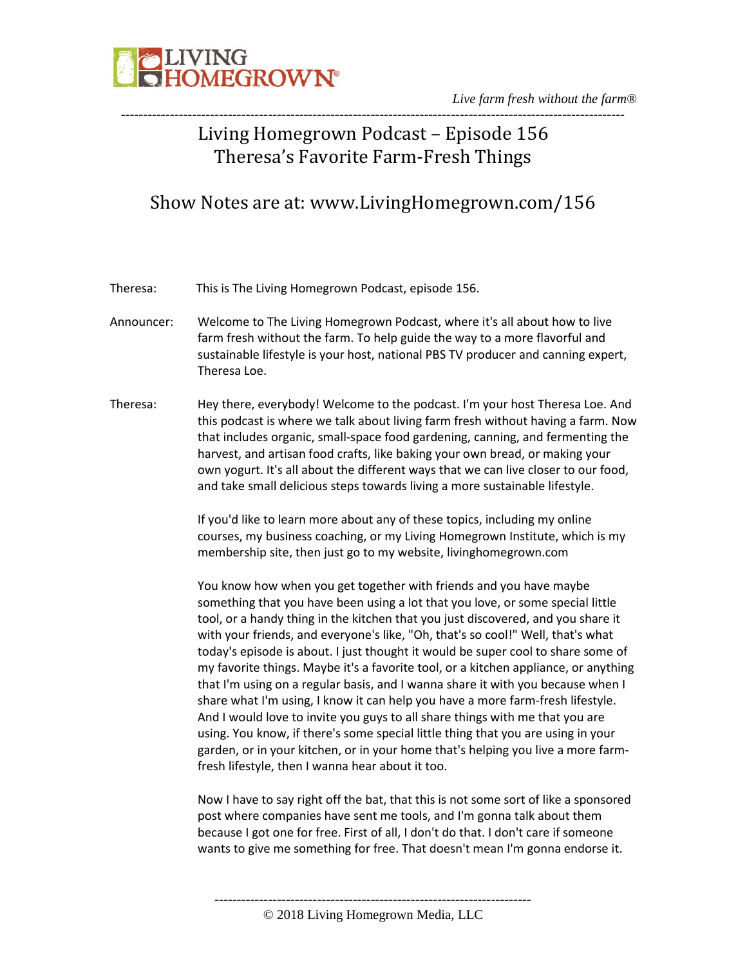

*Live farm fresh without the farm®* -----------------------------------------------------------------------------------------------------------------

# Living Homegrown Podcast – Episode 156 Theresa's Favorite Farm-Fresh Things

# Show Notes are at: www.LivingHomegrown.com/156

Theresa: This is The Living Homegrown Podcast, episode 156.

- Announcer: Welcome to The Living Homegrown Podcast, where it's all about how to live farm fresh without the farm. To help guide the way to a more flavorful and sustainable lifestyle is your host, national PBS TV producer and canning expert, Theresa Loe.
- Theresa: Hey there, everybody! Welcome to the podcast. I'm your host Theresa Loe. And this podcast is where we talk about living farm fresh without having a farm. Now that includes organic, small-space food gardening, canning, and fermenting the harvest, and artisan food crafts, like baking your own bread, or making your own yogurt. It's all about the different ways that we can live closer to our food, and take small delicious steps towards living a more sustainable lifestyle.

If you'd like to learn more about any of these topics, including my online courses, my business coaching, or my Living Homegrown Institute, which is my membership site, then just go to my website, livinghomegrown.com

You know how when you get together with friends and you have maybe something that you have been using a lot that you love, or some special little tool, or a handy thing in the kitchen that you just discovered, and you share it with your friends, and everyone's like, "Oh, that's so cool!" Well, that's what today's episode is about. I just thought it would be super cool to share some of my favorite things. Maybe it's a favorite tool, or a kitchen appliance, or anything that I'm using on a regular basis, and I wanna share it with you because when I share what I'm using, I know it can help you have a more farm-fresh lifestyle. And I would love to invite you guys to all share things with me that you are using. You know, if there's some special little thing that you are using in your garden, or in your kitchen, or in your home that's helping you live a more farmfresh lifestyle, then I wanna hear about it too.

Now I have to say right off the bat, that this is not some sort of like a sponsored post where companies have sent me tools, and I'm gonna talk about them because I got one for free. First of all, I don't do that. I don't care if someone wants to give me something for free. That doesn't mean I'm gonna endorse it.

----------------------------------------------------------------------- © 2018 Living Homegrown Media, LLC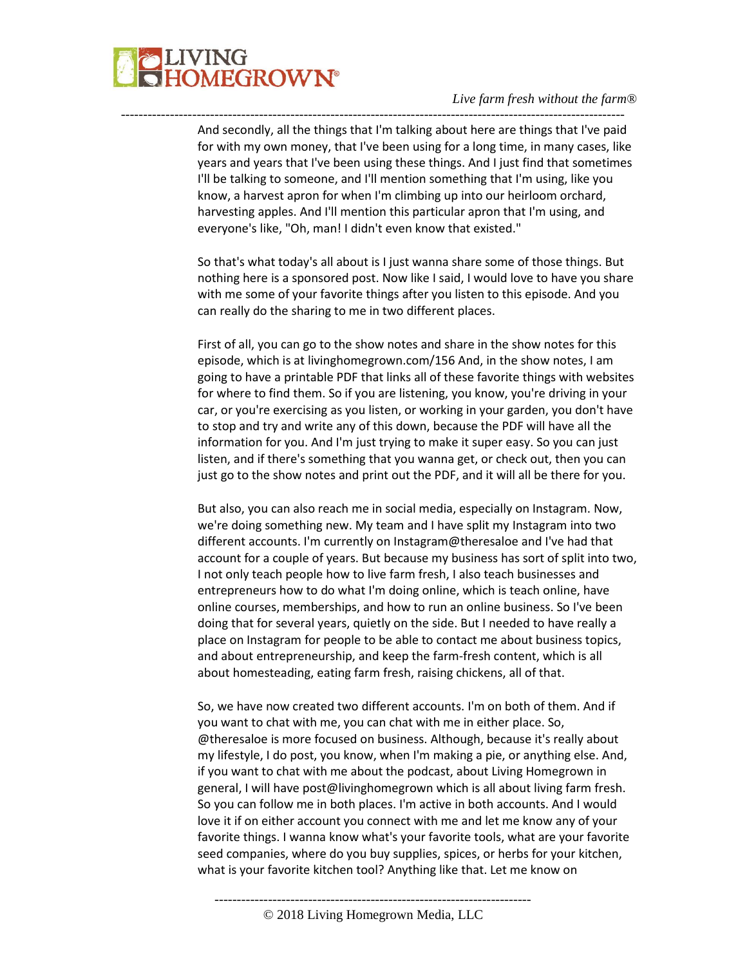

And secondly, all the things that I'm talking about here are things that I've paid for with my own money, that I've been using for a long time, in many cases, like years and years that I've been using these things. And I just find that sometimes I'll be talking to someone, and I'll mention something that I'm using, like you know, a harvest apron for when I'm climbing up into our heirloom orchard, harvesting apples. And I'll mention this particular apron that I'm using, and everyone's like, "Oh, man! I didn't even know that existed."

-----------------------------------------------------------------------------------------------------------------

So that's what today's all about is I just wanna share some of those things. But nothing here is a sponsored post. Now like I said, I would love to have you share with me some of your favorite things after you listen to this episode. And you can really do the sharing to me in two different places.

First of all, you can go to the show notes and share in the show notes for this episode, which is at livinghomegrown.com/156 And, in the show notes, I am going to have a printable PDF that links all of these favorite things with websites for where to find them. So if you are listening, you know, you're driving in your car, or you're exercising as you listen, or working in your garden, you don't have to stop and try and write any of this down, because the PDF will have all the information for you. And I'm just trying to make it super easy. So you can just listen, and if there's something that you wanna get, or check out, then you can just go to the show notes and print out the PDF, and it will all be there for you.

But also, you can also reach me in social media, especially on Instagram. Now, we're doing something new. My team and I have split my Instagram into two different accounts. I'm currently on Instagram@theresaloe and I've had that account for a couple of years. But because my business has sort of split into two, I not only teach people how to live farm fresh, I also teach businesses and entrepreneurs how to do what I'm doing online, which is teach online, have online courses, memberships, and how to run an online business. So I've been doing that for several years, quietly on the side. But I needed to have really a place on Instagram for people to be able to contact me about business topics, and about entrepreneurship, and keep the farm-fresh content, which is all about homesteading, eating farm fresh, raising chickens, all of that.

So, we have now created two different accounts. I'm on both of them. And if you want to chat with me, you can chat with me in either place. So, @theresaloe is more focused on business. Although, because it's really about my lifestyle, I do post, you know, when I'm making a pie, or anything else. And, if you want to chat with me about the podcast, about Living Homegrown in general, I will have post@livinghomegrown which is all about living farm fresh. So you can follow me in both places. I'm active in both accounts. And I would love it if on either account you connect with me and let me know any of your favorite things. I wanna know what's your favorite tools, what are your favorite seed companies, where do you buy supplies, spices, or herbs for your kitchen, what is your favorite kitchen tool? Anything like that. Let me know on

-----------------------------------------------------------------------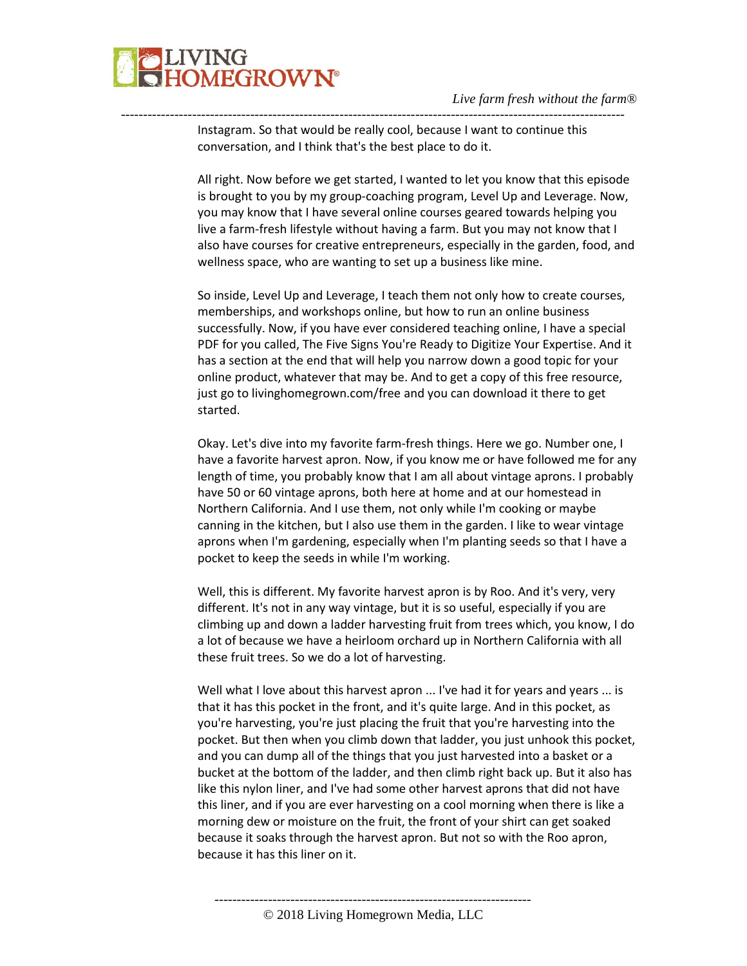

Instagram. So that would be really cool, because I want to continue this conversation, and I think that's the best place to do it.

-----------------------------------------------------------------------------------------------------------------

All right. Now before we get started, I wanted to let you know that this episode is brought to you by my group-coaching program, Level Up and Leverage. Now, you may know that I have several online courses geared towards helping you live a farm-fresh lifestyle without having a farm. But you may not know that I also have courses for creative entrepreneurs, especially in the garden, food, and wellness space, who are wanting to set up a business like mine.

So inside, Level Up and Leverage, I teach them not only how to create courses, memberships, and workshops online, but how to run an online business successfully. Now, if you have ever considered teaching online, I have a special PDF for you called, The Five Signs You're Ready to Digitize Your Expertise. And it has a section at the end that will help you narrow down a good topic for your online product, whatever that may be. And to get a copy of this free resource, just go to livinghomegrown.com/free and you can download it there to get started.

Okay. Let's dive into my favorite farm-fresh things. Here we go. Number one, I have a favorite harvest apron. Now, if you know me or have followed me for any length of time, you probably know that I am all about vintage aprons. I probably have 50 or 60 vintage aprons, both here at home and at our homestead in Northern California. And I use them, not only while I'm cooking or maybe canning in the kitchen, but I also use them in the garden. I like to wear vintage aprons when I'm gardening, especially when I'm planting seeds so that I have a pocket to keep the seeds in while I'm working.

Well, this is different. My favorite harvest apron is by Roo. And it's very, very different. It's not in any way vintage, but it is so useful, especially if you are climbing up and down a ladder harvesting fruit from trees which, you know, I do a lot of because we have a heirloom orchard up in Northern California with all these fruit trees. So we do a lot of harvesting.

Well what I love about this harvest apron ... I've had it for years and years ... is that it has this pocket in the front, and it's quite large. And in this pocket, as you're harvesting, you're just placing the fruit that you're harvesting into the pocket. But then when you climb down that ladder, you just unhook this pocket, and you can dump all of the things that you just harvested into a basket or a bucket at the bottom of the ladder, and then climb right back up. But it also has like this nylon liner, and I've had some other harvest aprons that did not have this liner, and if you are ever harvesting on a cool morning when there is like a morning dew or moisture on the fruit, the front of your shirt can get soaked because it soaks through the harvest apron. But not so with the Roo apron, because it has this liner on it.

© 2018 Living Homegrown Media, LLC

-----------------------------------------------------------------------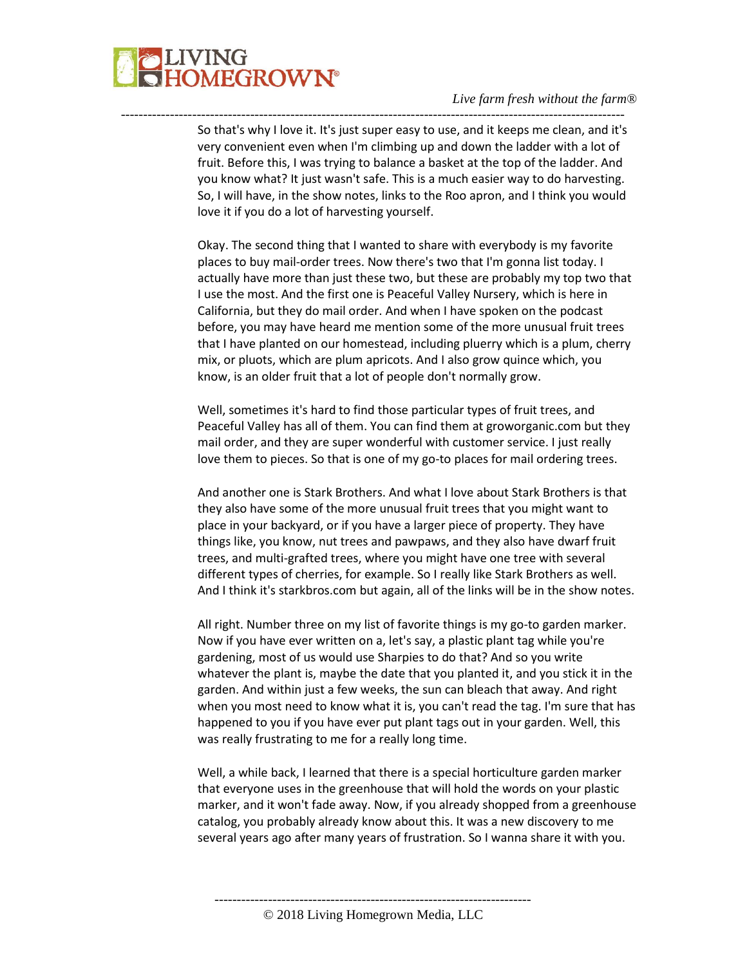

So that's why I love it. It's just super easy to use, and it keeps me clean, and it's very convenient even when I'm climbing up and down the ladder with a lot of fruit. Before this, I was trying to balance a basket at the top of the ladder. And you know what? It just wasn't safe. This is a much easier way to do harvesting. So, I will have, in the show notes, links to the Roo apron, and I think you would love it if you do a lot of harvesting yourself.

-----------------------------------------------------------------------------------------------------------------

Okay. The second thing that I wanted to share with everybody is my favorite places to buy mail-order trees. Now there's two that I'm gonna list today. I actually have more than just these two, but these are probably my top two that I use the most. And the first one is Peaceful Valley Nursery, which is here in California, but they do mail order. And when I have spoken on the podcast before, you may have heard me mention some of the more unusual fruit trees that I have planted on our homestead, including pluerry which is a plum, cherry mix, or pluots, which are plum apricots. And I also grow quince which, you know, is an older fruit that a lot of people don't normally grow.

Well, sometimes it's hard to find those particular types of fruit trees, and Peaceful Valley has all of them. You can find them at groworganic.com but they mail order, and they are super wonderful with customer service. I just really love them to pieces. So that is one of my go-to places for mail ordering trees.

And another one is Stark Brothers. And what I love about Stark Brothers is that they also have some of the more unusual fruit trees that you might want to place in your backyard, or if you have a larger piece of property. They have things like, you know, nut trees and pawpaws, and they also have dwarf fruit trees, and multi-grafted trees, where you might have one tree with several different types of cherries, for example. So I really like Stark Brothers as well. And I think it's starkbros.com but again, all of the links will be in the show notes.

All right. Number three on my list of favorite things is my go-to garden marker. Now if you have ever written on a, let's say, a plastic plant tag while you're gardening, most of us would use Sharpies to do that? And so you write whatever the plant is, maybe the date that you planted it, and you stick it in the garden. And within just a few weeks, the sun can bleach that away. And right when you most need to know what it is, you can't read the tag. I'm sure that has happened to you if you have ever put plant tags out in your garden. Well, this was really frustrating to me for a really long time.

Well, a while back, I learned that there is a special horticulture garden marker that everyone uses in the greenhouse that will hold the words on your plastic marker, and it won't fade away. Now, if you already shopped from a greenhouse catalog, you probably already know about this. It was a new discovery to me several years ago after many years of frustration. So I wanna share it with you.

-----------------------------------------------------------------------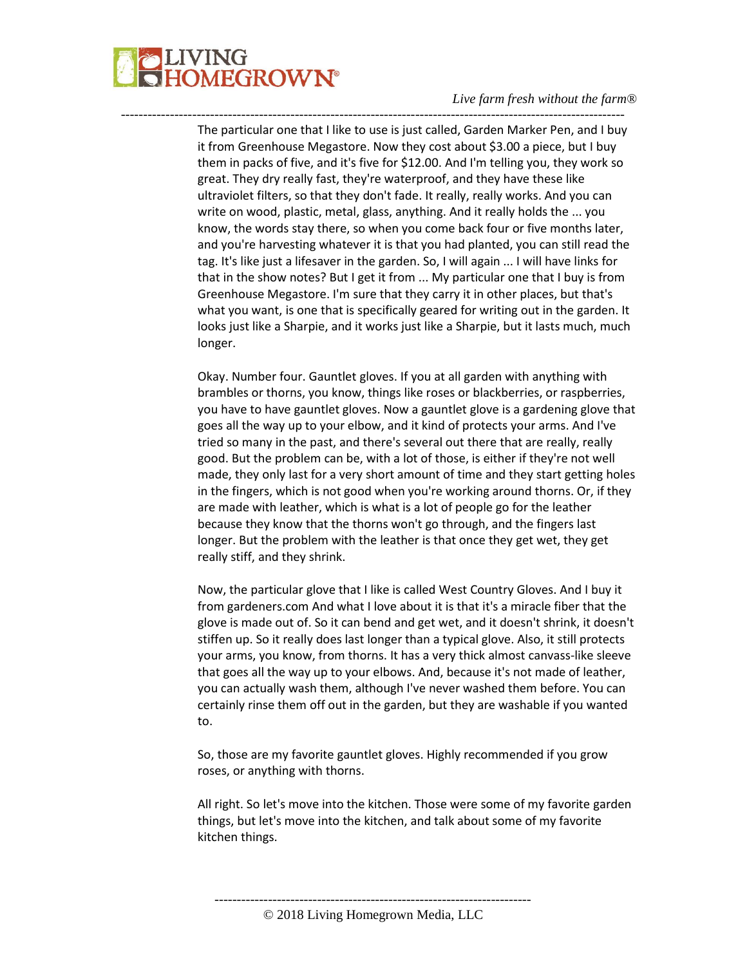

The particular one that I like to use is just called, Garden Marker Pen, and I buy it from Greenhouse Megastore. Now they cost about \$3.00 a piece, but I buy them in packs of five, and it's five for \$12.00. And I'm telling you, they work so great. They dry really fast, they're waterproof, and they have these like ultraviolet filters, so that they don't fade. It really, really works. And you can write on wood, plastic, metal, glass, anything. And it really holds the ... you know, the words stay there, so when you come back four or five months later, and you're harvesting whatever it is that you had planted, you can still read the tag. It's like just a lifesaver in the garden. So, I will again ... I will have links for that in the show notes? But I get it from ... My particular one that I buy is from Greenhouse Megastore. I'm sure that they carry it in other places, but that's what you want, is one that is specifically geared for writing out in the garden. It looks just like a Sharpie, and it works just like a Sharpie, but it lasts much, much longer.

-----------------------------------------------------------------------------------------------------------------

Okay. Number four. Gauntlet gloves. If you at all garden with anything with brambles or thorns, you know, things like roses or blackberries, or raspberries, you have to have gauntlet gloves. Now a gauntlet glove is a gardening glove that goes all the way up to your elbow, and it kind of protects your arms. And I've tried so many in the past, and there's several out there that are really, really good. But the problem can be, with a lot of those, is either if they're not well made, they only last for a very short amount of time and they start getting holes in the fingers, which is not good when you're working around thorns. Or, if they are made with leather, which is what is a lot of people go for the leather because they know that the thorns won't go through, and the fingers last longer. But the problem with the leather is that once they get wet, they get really stiff, and they shrink.

Now, the particular glove that I like is called West Country Gloves. And I buy it from gardeners.com And what I love about it is that it's a miracle fiber that the glove is made out of. So it can bend and get wet, and it doesn't shrink, it doesn't stiffen up. So it really does last longer than a typical glove. Also, it still protects your arms, you know, from thorns. It has a very thick almost canvass-like sleeve that goes all the way up to your elbows. And, because it's not made of leather, you can actually wash them, although I've never washed them before. You can certainly rinse them off out in the garden, but they are washable if you wanted to.

So, those are my favorite gauntlet gloves. Highly recommended if you grow roses, or anything with thorns.

All right. So let's move into the kitchen. Those were some of my favorite garden things, but let's move into the kitchen, and talk about some of my favorite kitchen things.

<sup>-----------------------------------------------------------------------</sup> © 2018 Living Homegrown Media, LLC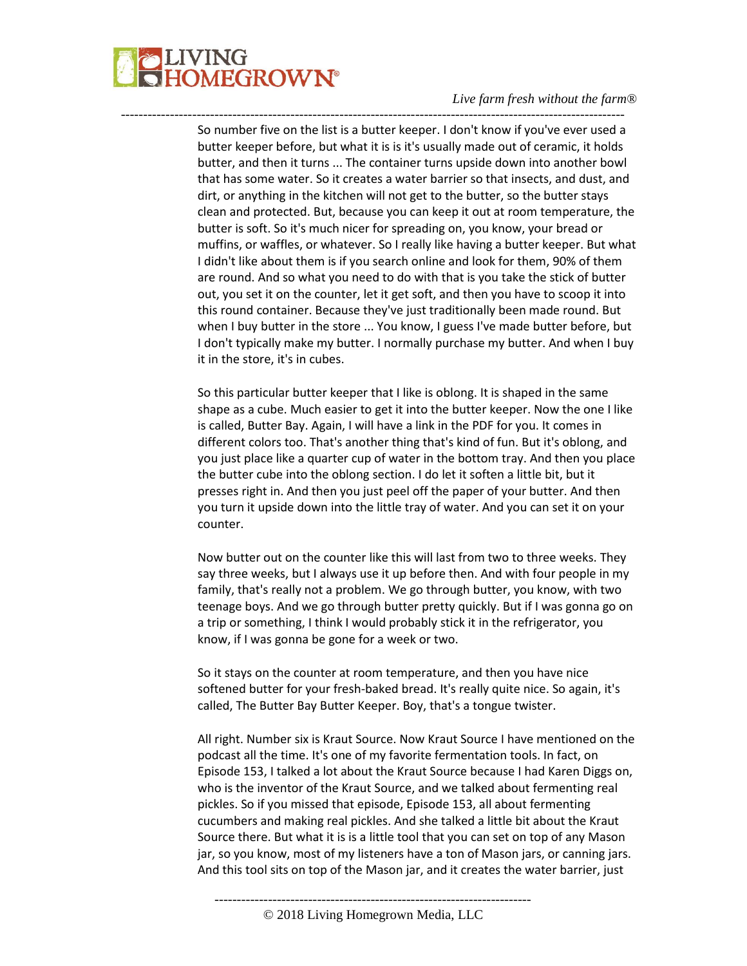

So number five on the list is a butter keeper. I don't know if you've ever used a butter keeper before, but what it is is it's usually made out of ceramic, it holds butter, and then it turns ... The container turns upside down into another bowl that has some water. So it creates a water barrier so that insects, and dust, and dirt, or anything in the kitchen will not get to the butter, so the butter stays clean and protected. But, because you can keep it out at room temperature, the butter is soft. So it's much nicer for spreading on, you know, your bread or muffins, or waffles, or whatever. So I really like having a butter keeper. But what I didn't like about them is if you search online and look for them, 90% of them are round. And so what you need to do with that is you take the stick of butter out, you set it on the counter, let it get soft, and then you have to scoop it into this round container. Because they've just traditionally been made round. But when I buy butter in the store ... You know, I guess I've made butter before, but I don't typically make my butter. I normally purchase my butter. And when I buy it in the store, it's in cubes.

-----------------------------------------------------------------------------------------------------------------

So this particular butter keeper that I like is oblong. It is shaped in the same shape as a cube. Much easier to get it into the butter keeper. Now the one I like is called, Butter Bay. Again, I will have a link in the PDF for you. It comes in different colors too. That's another thing that's kind of fun. But it's oblong, and you just place like a quarter cup of water in the bottom tray. And then you place the butter cube into the oblong section. I do let it soften a little bit, but it presses right in. And then you just peel off the paper of your butter. And then you turn it upside down into the little tray of water. And you can set it on your counter.

Now butter out on the counter like this will last from two to three weeks. They say three weeks, but I always use it up before then. And with four people in my family, that's really not a problem. We go through butter, you know, with two teenage boys. And we go through butter pretty quickly. But if I was gonna go on a trip or something, I think I would probably stick it in the refrigerator, you know, if I was gonna be gone for a week or two.

So it stays on the counter at room temperature, and then you have nice softened butter for your fresh-baked bread. It's really quite nice. So again, it's called, The Butter Bay Butter Keeper. Boy, that's a tongue twister.

All right. Number six is Kraut Source. Now Kraut Source I have mentioned on the podcast all the time. It's one of my favorite fermentation tools. In fact, on Episode 153, I talked a lot about the Kraut Source because I had Karen Diggs on, who is the inventor of the Kraut Source, and we talked about fermenting real pickles. So if you missed that episode, Episode 153, all about fermenting cucumbers and making real pickles. And she talked a little bit about the Kraut Source there. But what it is is a little tool that you can set on top of any Mason jar, so you know, most of my listeners have a ton of Mason jars, or canning jars. And this tool sits on top of the Mason jar, and it creates the water barrier, just

-----------------------------------------------------------------------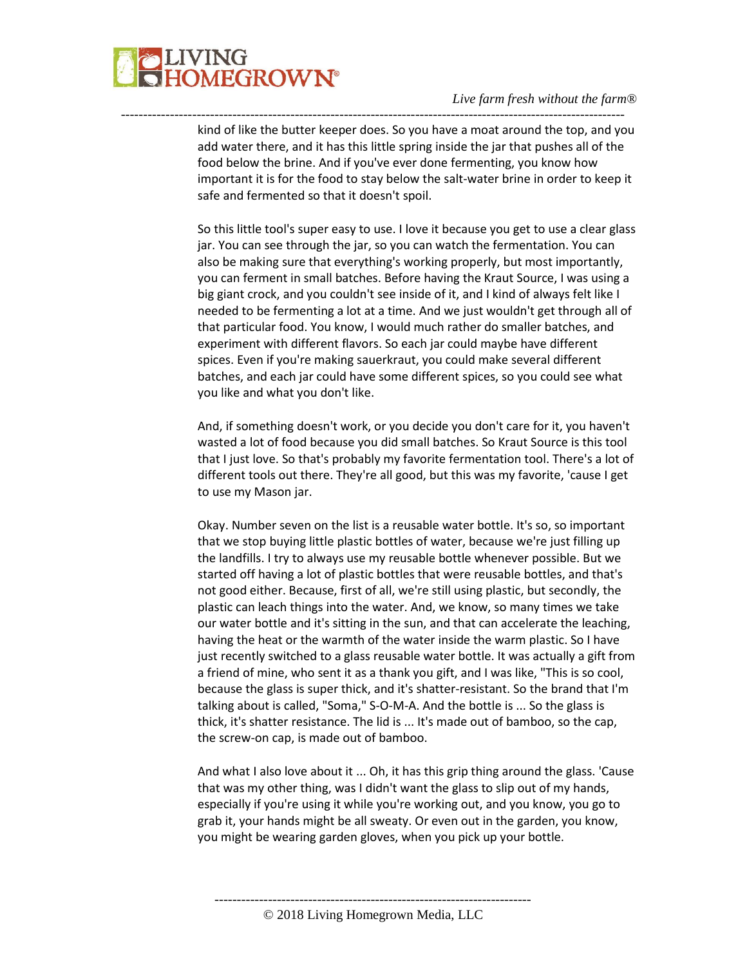

kind of like the butter keeper does. So you have a moat around the top, and you add water there, and it has this little spring inside the jar that pushes all of the food below the brine. And if you've ever done fermenting, you know how important it is for the food to stay below the salt-water brine in order to keep it safe and fermented so that it doesn't spoil.

-----------------------------------------------------------------------------------------------------------------

So this little tool's super easy to use. I love it because you get to use a clear glass jar. You can see through the jar, so you can watch the fermentation. You can also be making sure that everything's working properly, but most importantly, you can ferment in small batches. Before having the Kraut Source, I was using a big giant crock, and you couldn't see inside of it, and I kind of always felt like I needed to be fermenting a lot at a time. And we just wouldn't get through all of that particular food. You know, I would much rather do smaller batches, and experiment with different flavors. So each jar could maybe have different spices. Even if you're making sauerkraut, you could make several different batches, and each jar could have some different spices, so you could see what you like and what you don't like.

And, if something doesn't work, or you decide you don't care for it, you haven't wasted a lot of food because you did small batches. So Kraut Source is this tool that I just love. So that's probably my favorite fermentation tool. There's a lot of different tools out there. They're all good, but this was my favorite, 'cause I get to use my Mason jar.

Okay. Number seven on the list is a reusable water bottle. It's so, so important that we stop buying little plastic bottles of water, because we're just filling up the landfills. I try to always use my reusable bottle whenever possible. But we started off having a lot of plastic bottles that were reusable bottles, and that's not good either. Because, first of all, we're still using plastic, but secondly, the plastic can leach things into the water. And, we know, so many times we take our water bottle and it's sitting in the sun, and that can accelerate the leaching, having the heat or the warmth of the water inside the warm plastic. So I have just recently switched to a glass reusable water bottle. It was actually a gift from a friend of mine, who sent it as a thank you gift, and I was like, "This is so cool, because the glass is super thick, and it's shatter-resistant. So the brand that I'm talking about is called, "Soma," S-O-M-A. And the bottle is ... So the glass is thick, it's shatter resistance. The lid is ... It's made out of bamboo, so the cap, the screw-on cap, is made out of bamboo.

And what I also love about it ... Oh, it has this grip thing around the glass. 'Cause that was my other thing, was I didn't want the glass to slip out of my hands, especially if you're using it while you're working out, and you know, you go to grab it, your hands might be all sweaty. Or even out in the garden, you know, you might be wearing garden gloves, when you pick up your bottle.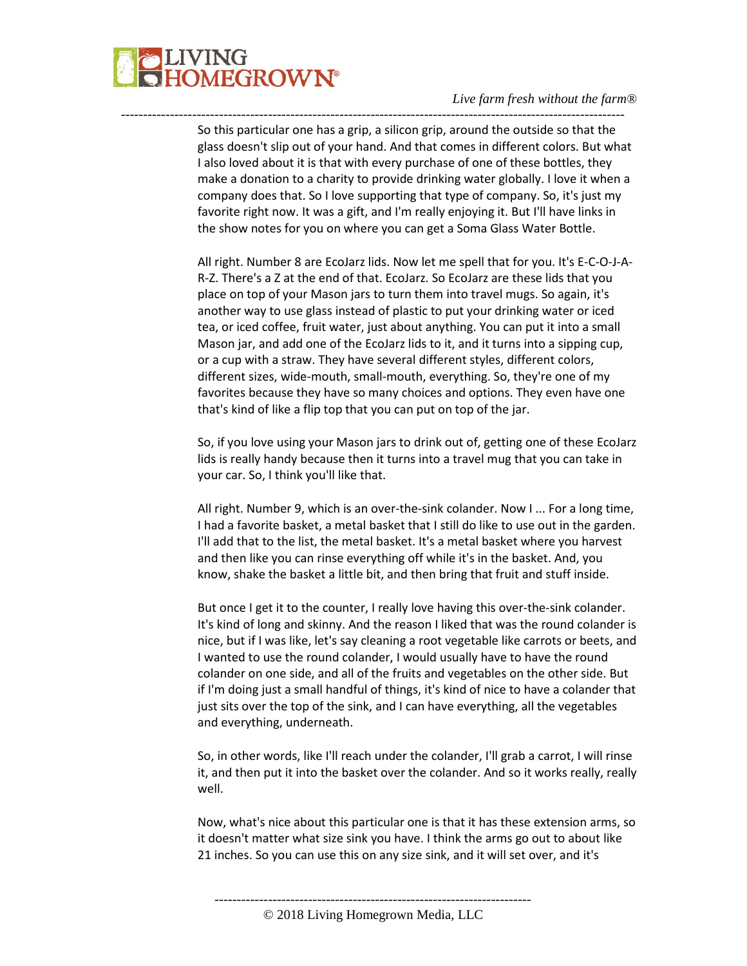

So this particular one has a grip, a silicon grip, around the outside so that the glass doesn't slip out of your hand. And that comes in different colors. But what I also loved about it is that with every purchase of one of these bottles, they make a donation to a charity to provide drinking water globally. I love it when a company does that. So I love supporting that type of company. So, it's just my favorite right now. It was a gift, and I'm really enjoying it. But I'll have links in the show notes for you on where you can get a Soma Glass Water Bottle.

-----------------------------------------------------------------------------------------------------------------

All right. Number 8 are EcoJarz lids. Now let me spell that for you. It's E-C-O-J-A-R-Z. There's a Z at the end of that. EcoJarz. So EcoJarz are these lids that you place on top of your Mason jars to turn them into travel mugs. So again, it's another way to use glass instead of plastic to put your drinking water or iced tea, or iced coffee, fruit water, just about anything. You can put it into a small Mason jar, and add one of the EcoJarz lids to it, and it turns into a sipping cup, or a cup with a straw. They have several different styles, different colors, different sizes, wide-mouth, small-mouth, everything. So, they're one of my favorites because they have so many choices and options. They even have one that's kind of like a flip top that you can put on top of the jar.

So, if you love using your Mason jars to drink out of, getting one of these EcoJarz lids is really handy because then it turns into a travel mug that you can take in your car. So, I think you'll like that.

All right. Number 9, which is an over-the-sink colander. Now I ... For a long time, I had a favorite basket, a metal basket that I still do like to use out in the garden. I'll add that to the list, the metal basket. It's a metal basket where you harvest and then like you can rinse everything off while it's in the basket. And, you know, shake the basket a little bit, and then bring that fruit and stuff inside.

But once I get it to the counter, I really love having this over-the-sink colander. It's kind of long and skinny. And the reason I liked that was the round colander is nice, but if I was like, let's say cleaning a root vegetable like carrots or beets, and I wanted to use the round colander, I would usually have to have the round colander on one side, and all of the fruits and vegetables on the other side. But if I'm doing just a small handful of things, it's kind of nice to have a colander that just sits over the top of the sink, and I can have everything, all the vegetables and everything, underneath.

So, in other words, like I'll reach under the colander, I'll grab a carrot, I will rinse it, and then put it into the basket over the colander. And so it works really, really well.

Now, what's nice about this particular one is that it has these extension arms, so it doesn't matter what size sink you have. I think the arms go out to about like 21 inches. So you can use this on any size sink, and it will set over, and it's

-----------------------------------------------------------------------

© 2018 Living Homegrown Media, LLC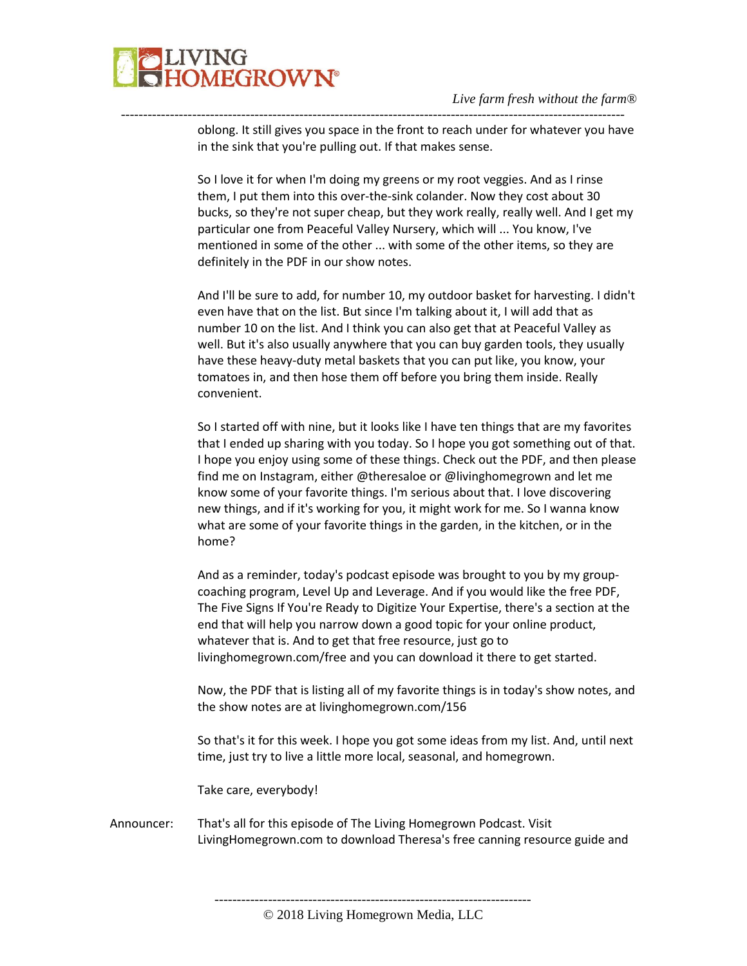

oblong. It still gives you space in the front to reach under for whatever you have in the sink that you're pulling out. If that makes sense.

-----------------------------------------------------------------------------------------------------------------

So I love it for when I'm doing my greens or my root veggies. And as I rinse them, I put them into this over-the-sink colander. Now they cost about 30 bucks, so they're not super cheap, but they work really, really well. And I get my particular one from Peaceful Valley Nursery, which will ... You know, I've mentioned in some of the other ... with some of the other items, so they are definitely in the PDF in our show notes.

And I'll be sure to add, for number 10, my outdoor basket for harvesting. I didn't even have that on the list. But since I'm talking about it, I will add that as number 10 on the list. And I think you can also get that at Peaceful Valley as well. But it's also usually anywhere that you can buy garden tools, they usually have these heavy-duty metal baskets that you can put like, you know, your tomatoes in, and then hose them off before you bring them inside. Really convenient.

So I started off with nine, but it looks like I have ten things that are my favorites that I ended up sharing with you today. So I hope you got something out of that. I hope you enjoy using some of these things. Check out the PDF, and then please find me on Instagram, either @theresaloe or @livinghomegrown and let me know some of your favorite things. I'm serious about that. I love discovering new things, and if it's working for you, it might work for me. So I wanna know what are some of your favorite things in the garden, in the kitchen, or in the home?

And as a reminder, today's podcast episode was brought to you by my groupcoaching program, Level Up and Leverage. And if you would like the free PDF, The Five Signs If You're Ready to Digitize Your Expertise, there's a section at the end that will help you narrow down a good topic for your online product, whatever that is. And to get that free resource, just go to livinghomegrown.com/free and you can download it there to get started.

Now, the PDF that is listing all of my favorite things is in today's show notes, and the show notes are at livinghomegrown.com/156

So that's it for this week. I hope you got some ideas from my list. And, until next time, just try to live a little more local, seasonal, and homegrown.

Take care, everybody!

Announcer: That's all for this episode of The Living Homegrown Podcast. Visit LivingHomegrown.com to download Theresa's free canning resource guide and

-----------------------------------------------------------------------